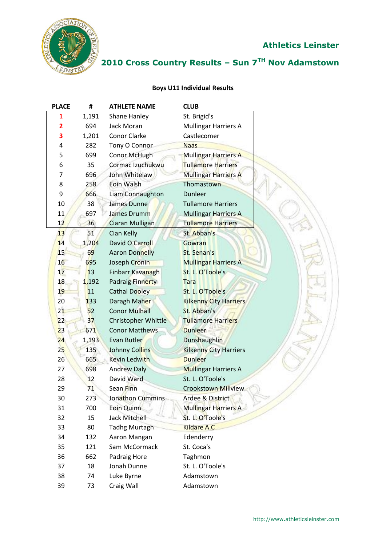

## **2010 Cross Country Results – Sun 7TH Nov Adamstown**

#### **Boys U11 Individual Results**

| <b>PLACE</b>            | #     | <b>ATHLETE NAME</b>   | <b>CLUB</b>                   |
|-------------------------|-------|-----------------------|-------------------------------|
| 1                       | 1,191 | Shane Hanley          | St. Brigid's                  |
| $\overline{\mathbf{2}}$ | 694   | Jack Moran            | Mullingar Harriers A          |
| 3                       | 1,201 | Conor Clarke          | Castlecomer                   |
| 4                       | 282   | Tony O Connor         | <b>Naas</b>                   |
| 5                       | 699   | Conor McHugh          | Mullingar Harriers A          |
| 6                       | 35    | Cormac Izuchukwu      | <b>Tullamore Harriers</b>     |
| 7                       | 696   | John Whitelaw         | <b>Mullingar Harriers A</b>   |
| 8                       | 258   | Eoin Walsh            | Thomastown                    |
| 9                       | 666   | Liam Connaughton      | <b>Dunleer</b>                |
| 10                      | 38    | James Dunne           | <b>Tullamore Harriers</b>     |
| 11                      | 697   | James Drumm           | <b>Mullingar Harriers A</b>   |
| 12                      | 36    | Ciaran Mulligan       | <b>Tullamore Harriers</b>     |
| 13                      | 51    | Cian Kelly            | St. Abban's                   |
| 14                      | 1,204 | David O Carroll       | Gowran                        |
| 15                      | 69    | <b>Aaron Donnelly</b> | St. Senan's                   |
| 16                      | 695   | Joseph Cronin         | <b>Mullingar Harriers A</b>   |
| 17                      | 13    | Finbarr Kavanagh      | St. L. O'Toole's              |
| 18                      | 1,192 | Padraig Finnerty      | <b>Tara</b>                   |
| 19                      | 11    | <b>Cathal Dooley</b>  | St. L. O'Toole's              |
| 20                      | 133   | Daragh Maher          | <b>Kilkenny City Harriers</b> |
| 21                      | 52    | <b>Conor Mulhall</b>  | St. Abban's                   |
| 22                      | 37    | Christopher Whittle   | <b>Tullamore Harriers</b>     |
| 23                      | 671   | <b>Conor Matthews</b> | <b>Dunleer</b>                |
| 24                      | 1,193 | Evan Butler           | <b>Dunshaughlin</b>           |
| 25                      | 135   | <b>Johnny Collins</b> | <b>Kilkenny City Harriers</b> |
| 26                      | 665   | Kevin Ledwith         | <b>Dunleer</b>                |
| 27                      | 698   | <b>Andrew Daly</b>    | <b>Mullingar Harriers A</b>   |
| 28                      | 12    | David Ward            | St. L. O'Toole's              |
| 29                      | 71    | Sean Finn             | <b>Crookstown Millview</b>    |
| 30                      | 273   | Jonathon Cummins      | <b>Ardee &amp; District</b>   |
| 31                      | 700   | Eoin Quinn            | <b>Mullingar Harriers A</b>   |
| 32                      | 15    | <b>Jack Mitchell</b>  | St. L. O'Toole's              |
| 33                      | 80    | <b>Tadhg Murtagh</b>  | <b>Kildare A.C</b>            |
| 34                      | 132   | Aaron Mangan          | Edenderry                     |
| 35                      | 121   | Sam McCormack         | St. Coca's                    |
| 36                      | 662   | Padraig Hore          | Taghmon                       |
| 37                      | 18    | Jonah Dunne           | St. L. O'Toole's              |
| 38                      | 74    | Luke Byrne            | Adamstown                     |
| 39                      | 73    | Craig Wall            | Adamstown                     |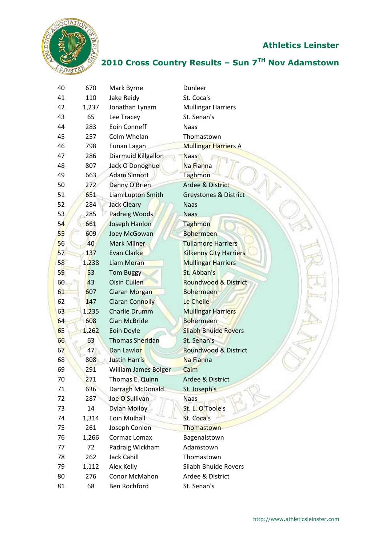

## **2010 Cross Country Results – Sun 7TH Nov Adamstown**

| 40 | 670   | Mark Byrne                  | Dunleer                         |
|----|-------|-----------------------------|---------------------------------|
| 41 | 110   | Jake Reidy                  | St. Coca's                      |
| 42 | 1,237 | Jonathan Lynam              | <b>Mullingar Harriers</b>       |
| 43 | 65    | Lee Tracey                  | St. Senan's                     |
| 44 | 283   | <b>Eoin Conneff</b>         | Naas                            |
| 45 | 257   | Colm Whelan                 | Thomastown                      |
| 46 | 798   | Eunan Lagan                 | <b>Mullingar Harriers A</b>     |
| 47 | 286   | Diarmuid Killgallon         | <b>Naas</b>                     |
| 48 | 807   | Jack O Donoghue             | Na Fianna                       |
| 49 | 663   | <b>Adam Sinnott</b>         | <b>Taghmon</b>                  |
| 50 | 272   | Danny O'Brien               | <b>Ardee &amp; District</b>     |
| 51 | 651   | Liam Lupton Smith           | Greystones & District           |
| 52 | 284   | <b>Jack Cleary</b>          | <b>Naas</b>                     |
| 53 | 285   | Padraig Woods               | <b>Naas</b>                     |
| 54 | 661   | Joseph Hanlon               | Taghmon                         |
| 55 | 609   | Joey McGowan                | <b>Bohermeen</b>                |
| 56 | 40    | Mark Milner                 | <b>Tullamore Harriers</b>       |
| 57 | 137   | Evan Clarke                 | <b>Kilkenny City Harriers</b>   |
| 58 | 1,238 | Liam Moran                  | <b>Mullingar Harriers</b>       |
| 59 | 53    | <b>Tom Buggy</b>            | St. Abban's                     |
| 60 | 43    | <b>Oisin Cullen</b>         | <b>Roundwood &amp; District</b> |
| 61 | 607   | Ciaran Morgan               | <b>Bohermeen</b>                |
| 62 | 147   | <b>Ciaran Connolly</b>      | Le Cheile                       |
| 63 | 1,235 | <b>Charlie Drumm</b>        | <b>Mullingar Harriers</b>       |
| 64 | 608   | <b>Cian McBride</b>         | <b>Bohermeen</b>                |
| 65 | 1,262 | Eoin Doyle                  | <b>Sliabh Bhuide Rovers</b>     |
| 66 | 63    | Thomas Sheridan             | St. Senan's                     |
| 67 | 47    | Dan Lawlor                  | Roundwood & District            |
| 68 | 808   | <b>Justin Harris</b>        | Na Fianna                       |
| 69 | 291   | <b>William James Bolger</b> | Caim                            |
| 70 | 271   | Thomas E. Quinn             | Ardee & District                |
| 71 | 636   | Darragh McDonald            | St. Joseph's                    |
| 72 | 287   | Joe O'Sullivan              | <b>Naas</b>                     |
| 73 | 14    | <b>Dylan Molloy</b>         | St. L. O'Toole's                |
| 74 | 1,314 | Eoin Mulhall                | St. Coca's                      |
| 75 | 261   | Joseph Conlon               | Thomastown                      |
| 76 | 1,266 | Cormac Lomax                | Bagenalstown                    |
| 77 | 72    | Padraig Wickham             | Adamstown                       |
| 78 | 262   | Jack Cahill                 | Thomastown                      |
| 79 | 1,112 | Alex Kelly                  | Sliabh Bhuide Rovers            |
| 80 | 276   | Conor McMahon               | Ardee & District                |
| 81 | 68    | Ben Rochford                | St. Senan's                     |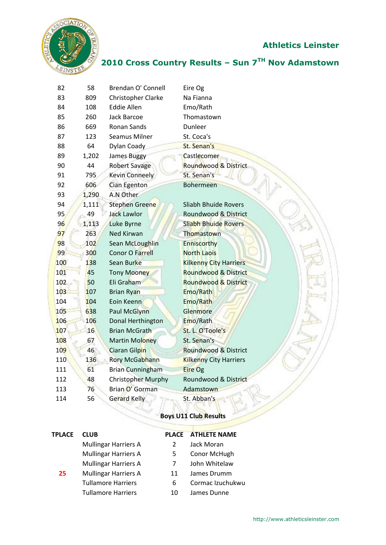

## **2010 Cross Country Results – Sun 7TH Nov Adamstown**

| 82  | 58    | Brendan O' Connell        | Eire Og                         |
|-----|-------|---------------------------|---------------------------------|
| 83  | 809   | Christopher Clarke        | Na Fianna                       |
| 84  | 108   | <b>Eddie Allen</b>        | Emo/Rath                        |
| 85  | 260   | Jack Barcoe               | Thomastown                      |
| 86  | 669   | Ronan Sands               | Dunleer                         |
| 87  | 123   | Seamus Milner             | St. Coca's                      |
| 88  | 64    | Dylan Coady               | St. Senan's                     |
| 89  | 1,202 | <b>James Buggy</b>        | Castlecomer                     |
| 90  | 44    | <b>Robert Savage</b>      | Roundwood & District            |
| 91  | 795   | <b>Kevin Conneely</b>     | St. Senan's                     |
| 92  | 606   | Cian Egenton              | <b>Bohermeen</b>                |
| 93  | 1,290 | A.N Other                 |                                 |
| 94  | 1,111 | Stephen Greene            | Sliabh Bhuide Rovers            |
| 95  | 49    | <b>Jack Lawlor</b>        | Roundwood & District            |
| 96  | 1,113 | Luke Byrne                | <b>Sliabh Bhuide Rovers</b>     |
| 97  | 263   | Ned Kirwan                | Thomastown                      |
| 98  | 102   | Sean McLoughlin           | <b>Enniscorthy</b>              |
| 99  | 300   | <b>Conor O Farrell</b>    | <b>North Laois</b>              |
| 100 | 138   | Sean Burke                | <b>Kilkenny City Harriers</b>   |
| 101 | 45    | <b>Tony Mooney</b>        | <b>Roundwood &amp; District</b> |
| 102 | 50    | Eli Graham                | <b>Roundwood &amp; District</b> |
| 103 | 107   | <b>Brian Ryan</b>         | Emo/Rath                        |
| 104 | 104   | Eoin Keenn                | Emo/Rath                        |
| 105 | 638   | Paul McGlynn              | Glenmore                        |
| 106 | 106   | Donal Herthington         | Emo/Rath                        |
| 107 | 16    | <b>Brian McGrath</b>      | St. L. O'Toole's                |
| 108 | 67    | Martin Moloney            | St. Senan's                     |
| 109 | 46    | Ciaran Gilpin             | <b>Roundwood &amp; District</b> |
| 110 | 136   | Rory McGabhann            | <b>Kilkenny City Harriers</b>   |
| 111 | 61    | <b>Brian Cunningham</b>   | <b>Eire Og</b>                  |
| 112 | 48    | <b>Christopher Murphy</b> | Roundwood & District            |
| 113 | 76    | Brian O' Gorman           | Adamstown                       |
| 114 | 56    | <b>Gerard Kelly</b>       | St. Abban's                     |
|     |       |                           |                                 |

#### **Boys U11 Club Results**

| TPLACE | <b>CLUB</b>                 |    | <b>PLACE ATHLETE NAME</b> |
|--------|-----------------------------|----|---------------------------|
|        | <b>Mullingar Harriers A</b> |    | Jack Moran                |
|        | <b>Mullingar Harriers A</b> | 5  | Conor McHugh              |
|        | <b>Mullingar Harriers A</b> |    | John Whitelaw             |
| 25     | <b>Mullingar Harriers A</b> | 11 | James Drumm               |
|        | <b>Tullamore Harriers</b>   | 6  | Cormac Izuchukwu          |
|        | <b>Tullamore Harriers</b>   | 10 | James Dunne               |
|        |                             |    |                           |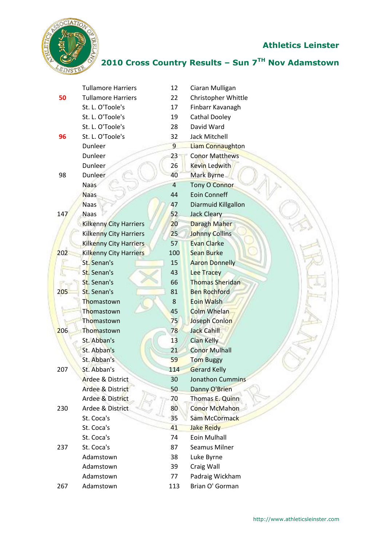

## **2010 Cross Country Results – Sun 7TH Nov Adamstown**

|     | <b>Tullamore Harriers</b>     | 12             | Ciaran Mulligan         |
|-----|-------------------------------|----------------|-------------------------|
| 50  | <b>Tullamore Harriers</b>     | 22             | Christopher Whittle     |
|     | St. L. O'Toole's              | 17             | Finbarr Kavanagh        |
|     | St. L. O'Toole's              | 19             | <b>Cathal Dooley</b>    |
|     | St. L. O'Toole's              | 28             | David Ward              |
| 96  | St. L. O'Toole's              | 32             | <b>Jack Mitchell</b>    |
|     | Dunleer                       | $\overline{9}$ | <b>Liam Connaughton</b> |
|     | Dunleer                       | 23             | <b>Conor Matthews</b>   |
|     | <b>Dunleer</b>                | 26             | <b>Kevin Ledwith</b>    |
| 98  | Dunleer                       | 40             | <b>Mark Byrne</b>       |
|     | <b>Naas</b>                   | $\overline{4}$ | <b>Tony O Connor</b>    |
|     | <b>Naas</b>                   | 44             | Eoin Conneff            |
|     | <b>Naas</b>                   | 47             | Diarmuid Killgallon     |
| 147 | <b>Naas</b>                   | 52             | <b>Jack Cleary</b>      |
|     | <b>Kilkenny City Harriers</b> | 20             | Daragh Maher            |
|     | <b>Kilkenny City Harriers</b> | 25             | <b>Johnny Collins</b>   |
|     | Kilkenny City Harriers        | 57             | <b>Evan Clarke</b>      |
| 202 | Kilkenny City Harriers        | 100            | <b>Sean Burke</b>       |
|     | St. Senan's                   | 15             | <b>Aaron Donnelly</b>   |
|     | St. Senan's                   | 43             | <b>Lee Tracey</b>       |
|     | St. Senan's                   | 66             | <b>Thomas Sheridan</b>  |
| 205 | St. Senan's                   | 81             | <b>Ben Rochford</b>     |
|     | Thomastown                    | 8              | <b>Eoin Walsh</b>       |
|     | Thomastown                    | 45             | <b>Colm Whelan</b>      |
|     | Thomastown                    | 75             | Joseph Conlon           |
| 206 | Thomastown                    | 78             | <b>Jack Cahill</b>      |
|     | St. Abban's                   | 13             | <b>Cian Kelly</b>       |
|     | St. Abban's                   | 21             | <b>Conor Mulhall</b>    |
|     | St. Abban's                   | 59             | <b>Tom Buggy</b>        |
| 207 | St. Abban's                   | 114            | <b>Gerard Kelly</b>     |
|     | <b>Ardee &amp; District</b>   | 30             | <b>Jonathon Cummins</b> |
|     | Ardee & District              | 50             | Danny O'Brien           |
|     | Ardee & District              | 70             | Thomas E. Quinn         |
| 230 | Ardee & District              | 80             | <b>Conor McMahon</b>    |
|     | St. Coca's                    | 35             | Sam McCormack           |
|     | St. Coca's                    | 41             | <b>Jake Reidy</b>       |
|     | St. Coca's                    | 74             | Eoin Mulhall            |
| 237 | St. Coca's                    | 87             | Seamus Milner           |
|     | Adamstown                     | 38             | Luke Byrne              |
|     | Adamstown                     | 39             | Craig Wall              |
|     | Adamstown                     | 77             | Padraig Wickham         |
| 267 | Adamstown                     | 113            | Brian O' Gorman         |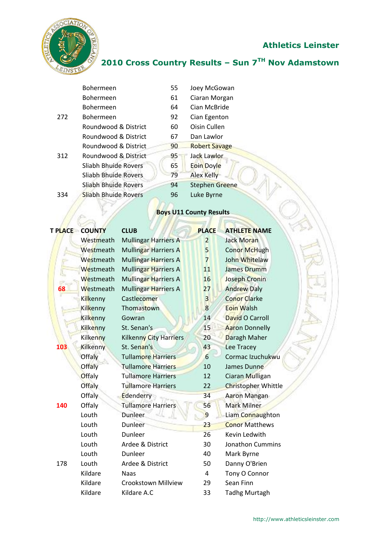$\geq$ 



## **2010 Cross Country Results – Sun 7TH Nov Adamstown**

|     | Bohermeen            | 55 | Joey McGowan                   |
|-----|----------------------|----|--------------------------------|
|     | Bohermeen            | 61 | Ciaran Morgan                  |
|     | Bohermeen            | 64 | Cian McBride                   |
| 272 | Bohermeen            | 92 | Cian Egenton                   |
|     | Roundwood & District | 60 | Oisin Cullen                   |
|     | Roundwood & District | 67 | Dan Lawlor                     |
|     | Roundwood & District | 90 | <b>Robert Savage</b>           |
| 312 | Roundwood & District | 95 | Jack Lawlor                    |
|     | Sliabh Bhuide Rovers | 65 | <b>Eoin Doyle</b>              |
|     | Sliabh Bhuide Rovers | 79 | <b>Alex Kelly</b>              |
|     | Sliabh Bhuide Rovers | 94 | <b>Stephen Greene</b>          |
| 334 | Sliabh Bhuide Rovers | 96 | Luke Byrne                     |
|     |                      |    | <b>Boys U11 County Results</b> |

# **Boys U11 County Results**

|     | <b>T PLACE COUNTY</b> | <b>CLUB</b>                   | <b>PLACE</b>   | <b>ATHLETE NAME</b>        |
|-----|-----------------------|-------------------------------|----------------|----------------------------|
|     | Westmeath             | <b>Mullingar Harriers A</b>   | $\overline{2}$ | <b>Jack Moran</b>          |
|     | Westmeath             | <b>Mullingar Harriers A</b>   | 5              | <b>Conor McHugh</b>        |
|     | Westmeath             | Mullingar Harriers A          | $\overline{7}$ | John Whitelaw              |
|     | Westmeath             | <b>Mullingar Harriers A</b>   | 11             | <b>James Drumm</b>         |
|     | Westmeath             | Mullingar Harriers A          | 16             | <b>Joseph Cronin</b>       |
| 68  | Westmeath             | Mullingar Harriers A          | 27             | <b>Andrew Daly</b>         |
|     | Kilkenny              | Castlecomer                   | $\overline{3}$ | <b>Conor Clarke</b>        |
|     | Kilkenny              | Thomastown                    | 8              | <b>Eoin Walsh</b>          |
|     | Kilkenny              | Gowran                        | 14             | David O Carroll            |
|     | Kilkenny              | St. Senan's                   | 15             | <b>Aaron Donnelly</b>      |
|     | <b>Kilkenny</b>       | <b>Kilkenny City Harriers</b> | 20             | Daragh Maher               |
| 103 | Kilkenny              | St. Senan's                   | 43             | Lee Tracey                 |
|     | Offaly                | <b>Tullamore Harriers</b>     | 6              | Cormac Izuchukwu           |
|     | <b>Offaly</b>         | <b>Tullamore Harriers</b>     | 10             | James Dunne                |
|     | Offaly                | <b>Tullamore Harriers</b>     | 12             | Ciaran Mulligan            |
|     | <b>Offaly</b>         | <b>Tullamore Harriers</b>     | 22             | <b>Christopher Whittle</b> |
|     | Offaly                | Edenderry                     | 34             | Aaron Mangan               |
| 140 | Offaly                | <b>Tullamore Harriers</b>     | 56             | <b>Mark Milner</b>         |
|     | Louth                 | Dunleer                       | 9              | Liam Connaughton           |
|     | Louth                 | Dunleer                       | 23             | <b>Conor Matthews</b>      |
|     | Louth                 | Dunleer                       | 26             | Kevin Ledwith              |
|     | Louth                 | Ardee & District              | 30             | <b>Jonathon Cummins</b>    |
|     | Louth                 | <b>Dunleer</b>                | 40             | Mark Byrne                 |
| 178 | Louth                 | Ardee & District              | 50             | Danny O'Brien              |
|     | Kildare               | <b>Naas</b>                   | 4              | Tony O Connor              |
|     | Kildare               | <b>Crookstown Millview</b>    | 29             | Sean Finn                  |
|     | Kildare               | Kildare A.C                   | 33             | <b>Tadhg Murtagh</b>       |
|     |                       |                               |                |                            |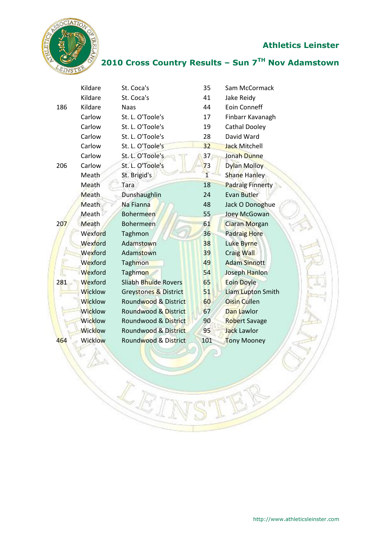j



**2010 Cross Country Results – Sun 7TH Nov Adamstown**

|     | Kildare        | St. Coca's            | 35              | Sam McCormack           |
|-----|----------------|-----------------------|-----------------|-------------------------|
|     | Kildare        | St. Coca's            | 41              | Jake Reidy              |
| 186 | Kildare        | <b>Naas</b>           | 44              | <b>Eoin Conneff</b>     |
|     | Carlow         | St. L. O'Toole's      | 17              | Finbarr Kavanagh        |
|     | Carlow         | St. L. O'Toole's      | 19              | Cathal Dooley           |
|     | Carlow         | St. L. O'Toole's      | 28              | David Ward              |
|     | Carlow         | St. L. O'Toole's      | 32              | <b>Jack Mitchell</b>    |
|     | Carlow         | St. L. O'Toole's      | 37 <sub>1</sub> | Jonah Dunne             |
| 206 | Carlow         | St. L. O'Toole's      | 73              | Dylan Molloy            |
|     | Meath          | St. Brigid's          | $\overline{1}$  | Shane Hanley            |
|     | Meath          | Tara                  | 18              | <b>Padraig Finnerty</b> |
|     | <b>Meath</b>   | Dunshaughlin          | 24              | Evan Butler             |
|     | Meath          | Na Fianna             | 48              | Jack O Donoghue         |
|     | Meath          | <b>Bohermeen</b>      | 55              | Joey McGowan            |
| 207 | Meath          | <b>Bohermeen</b>      | 61              | <b>Ciaran Morgan</b>    |
|     | Wexford        | Taghmon               | 36              | Padraig Hore            |
|     | Wexford        | Adamstown             | 38              | Luke Byrne              |
|     | Wexford        | Adamstown             | 39              | <b>Craig Wall</b>       |
|     | Wexford        | Taghmon               | 49              | <b>Adam Sinnott</b>     |
|     | Wexford        | Taghmon               | 54              | Joseph Hanlon           |
| 281 | Wexford        | Sliabh Bhuide Rovers  | 65              | <b>Eoin Doyle</b>       |
|     | Wicklow        | Greystones & District | 51              | Liam Lupton Smith       |
|     | <b>Wicklow</b> | Roundwood & District  | 60              | <b>Oisin Cullen</b>     |
|     | <b>Wicklow</b> | Roundwood & District  | 67              | Dan Lawlor              |
|     | Wicklow        | Roundwood & District  | 90              | <b>Robert Savage</b>    |
|     | <b>Wicklow</b> | Roundwood & District  | 95              | <b>Jack Lawlor</b>      |
| 464 | Wicklow        | Roundwood & District  | 101             | <b>Tony Mooney</b>      |
|     |                |                       |                 |                         |

**RETAIL**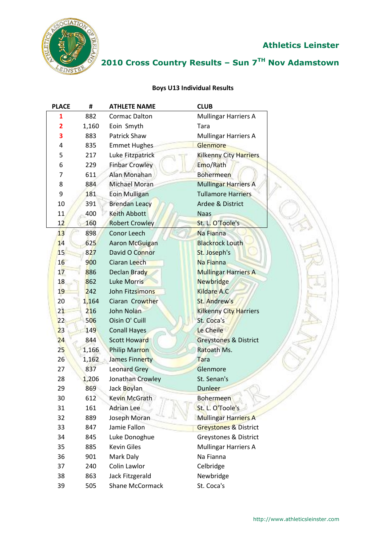

## **2010 Cross Country Results – Sun 7TH Nov Adamstown**

#### **Boys U13 Individual Results**

| <b>PLACE</b> | #     | <b>ATHLETE NAME</b>   | <b>CLUB</b>                      |
|--------------|-------|-----------------------|----------------------------------|
| 1            | 882   | <b>Cormac Dalton</b>  | <b>Mullingar Harriers A</b>      |
| 2            | 1,160 | Eoin Smyth            | Tara                             |
| 3            | 883   | Patrick Shaw          | <b>Mullingar Harriers A</b>      |
| 4            | 835   | <b>Emmet Hughes</b>   | Glenmore                         |
| 5            | 217   | Luke Fitzpatrick      | <b>Kilkenny City Harriers</b>    |
| 6            | 229   | <b>Finbar Crowley</b> | Emo/Rath                         |
| 7            | 611   | Alan Monahan          | <b>Bohermeen</b>                 |
| 8            | 884   | <b>Michael Moran</b>  | <b>Mullingar Harriers A</b>      |
| 9            | 181   | <b>Eoin Mulligan</b>  | <b>Tullamore Harriers</b>        |
| 10           | 391   | <b>Brendan Leacy</b>  | Ardee & District                 |
| 11           | 400   | <b>Keith Abbott</b>   | <b>Naas</b>                      |
| 12           | 160   | <b>Robert Crowley</b> | St. L. O'Toole's                 |
| 13           | 898   | Conor Leech           | Na Fianna                        |
| 14           | 625   | Aaron McGuigan        | <b>Blackrock Louth</b>           |
| 15           | 827   | David O Connor        | St. Joseph's                     |
| 16           | 900   | Ciaran Leech          | Na Fianna                        |
| 17           | 886   | Declan Brady          | <b>Mullingar Harriers A</b>      |
| 18           | 862   | Luke Morris           | <b>Newbridge</b>                 |
| 19           | 242   | John Fitzsimons       | <b>Kildare A.C</b>               |
| 20           | 1,164 | Ciaran Crowther       | St. Andrew's                     |
| 21           | 216   | John Nolan            | <b>Kilkenny City Harriers</b>    |
| 22           | 506   | Oisin O' Cuill        | St. Coca's                       |
| 23           | 149   | <b>Conall Hayes</b>   | Le Cheile                        |
| 24           | 844   | <b>Scott Howard</b>   | Greystones & District            |
| 25           | 1,166 | Philip Marron         | Ratoath Ms.                      |
| 26           | 1,162 | James Finnerty        | Tara                             |
| 27           | 837   | <b>Leonard Grey</b>   | Glenmore                         |
| 28           | 1,206 | Jonathan Crowley      | St. Senan's                      |
| 29           | 869   | Jack Boylan           | <b>Dunleer</b>                   |
| 30           | 612   | Kevin McGrath         | <b>Bohermeen</b>                 |
| 31           | 161   | <b>Adrian Lee</b>     | St. L. O'Toole's                 |
| 32           | 889   | Joseph Moran          | <b>Mullingar Harriers A</b>      |
| 33           | 847   | Jamie Fallon          | <b>Greystones &amp; District</b> |
| 34           | 845   | Luke Donoghue         | <b>Greystones &amp; District</b> |
| 35           | 885   | <b>Kevin Giles</b>    | <b>Mullingar Harriers A</b>      |
| 36           | 901   | Mark Daly             | Na Fianna                        |
| 37           | 240   | Colin Lawlor          | Celbridge                        |
| 38           | 863   | Jack Fitzgerald       | Newbridge                        |
| 39           | 505   | Shane McCormack       | St. Coca's                       |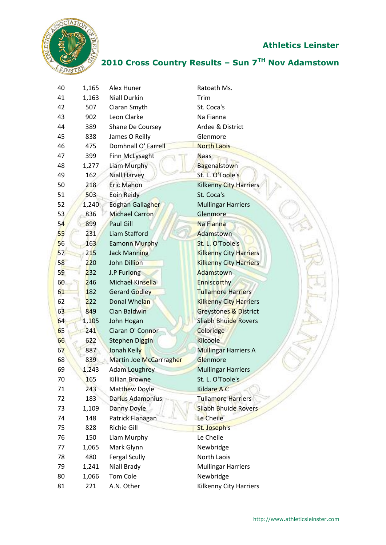

## **2010 Cross Country Results – Sun 7TH Nov Adamstown**

| 40 | 1,165 | Alex Huner              | Ratoath Ms.                      |
|----|-------|-------------------------|----------------------------------|
| 41 | 1,163 | <b>Niall Durkin</b>     | Trim                             |
| 42 | 507   | Ciaran Smyth            | St. Coca's                       |
| 43 | 902   | Leon Clarke             | Na Fianna                        |
| 44 | 389   | Shane De Coursey        | Ardee & District                 |
| 45 | 838   | James O Reilly          | Glenmore                         |
| 46 | 475   | Domhnall O' Farrell     | <b>North Laois</b>               |
| 47 | 399   | Finn McLysaght          | <b>Naas</b>                      |
| 48 | 1,277 | Liam Murphy             | Bagenalstown                     |
| 49 | 162   | <b>Niall Harvey</b>     | St. L. O'Toole's                 |
| 50 | 218   | <b>Eric Mahon</b>       | <b>Kilkenny City Harriers</b>    |
| 51 | 503   | Eoin Reidy              | St. Coca's                       |
| 52 | 1,240 | Eoghan Gallagher        | <b>Mullingar Harriers</b>        |
| 53 | 836   | Michael Carron          | Glenmore                         |
| 54 | 899   | Paul Gill               | Na Fianna                        |
| 55 | 231   | Liam Stafford           | Adamstown                        |
| 56 | 163   | <b>Eamonn Murphy</b>    | St. L. O'Toole's                 |
| 57 | 215   | <b>Jack Manning</b>     | <b>Kilkenny City Harriers</b>    |
| 58 | 220   | John Dillion            | <b>Kilkenny City Harriers</b>    |
| 59 | 232   | J.P Furlong             | Adamstown                        |
| 60 | 246   | Michael Kinsella        | Enniscorthy                      |
| 61 | 182   | Gerard Godley           | <b>Tullamore Harriers</b>        |
| 62 | 222   | Donal Whelan            | <b>Kilkenny City Harriers</b>    |
| 63 | 849   | Cian Baldwin            | <b>Greystones &amp; District</b> |
| 64 | 1,105 | John Hogan              | <b>Sliabh Bhuide Rovers</b>      |
| 65 | 241   | Ciaran O' Connor        | Celbridge                        |
| 66 | 622   | <b>Stephen Diggin</b>   | Kilcoole                         |
| 67 | 887   | Jonah Kelly             | <b>Mullingar Harriers A</b>      |
| 68 | 839   | Martin Joe McCarrragher | Glenmore                         |
| 69 | 1,243 | <b>Adam Loughrey</b>    | <b>Mullingar Harriers</b>        |
| 70 | 165   | Killian Browne          | St. L. O'Toole's                 |
| 71 | 243   | Matthew Doyle           | <b>Kildare A.C</b>               |
| 72 | 183   | Darius Adamonius        | <b>Tullamore Harriers</b>        |
| 73 | 1,109 | Danny Doyle             | <b>Sliabh Bhuide Rovers</b>      |
| 74 | 148   | Patrick Flanagan        | Le Cheile                        |
| 75 | 828   | Richie Gill             | St. Joseph's                     |
| 76 | 150   | Liam Murphy             | Le Cheile                        |
| 77 | 1,065 | Mark Glynn              | Newbridge                        |
| 78 | 480   | <b>Fergal Scully</b>    | North Laois                      |
| 79 | 1,241 | Niall Brady             | <b>Mullingar Harriers</b>        |
| 80 | 1,066 | Tom Cole                | Newbridge                        |
| 81 | 221   | A.N. Other              | <b>Kilkenny City Harriers</b>    |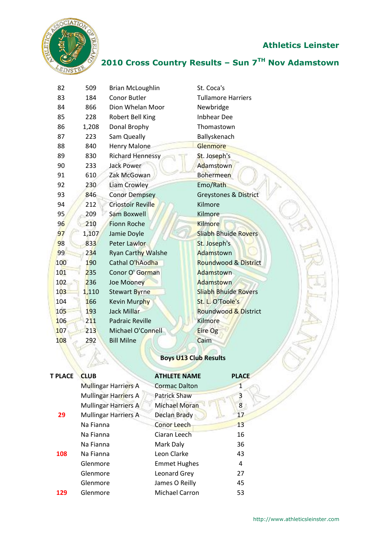

## **2010 Cross Country Results – Sun 7TH Nov Adamstown**

| 82  | 509   | <b>Brian McLoughlin</b>   | St. Coca's                       |
|-----|-------|---------------------------|----------------------------------|
| 83  | 184   | <b>Conor Butler</b>       | <b>Tullamore Harriers</b>        |
| 84  | 866   | Dion Whelan Moor          | Newbridge                        |
| 85  | 228   | Robert Bell King          | <b>Inbhear Dee</b>               |
| 86  | 1,208 | Donal Brophy              | Thomastown                       |
| 87  | 223   | Sam Queally               | Ballyskenach                     |
| 88  | 840   | <b>Henry Malone</b>       | Glenmore                         |
| 89  | 830   | <b>Richard Hennessy</b>   | St. Joseph's                     |
| 90  | 233   | <b>Jack Power</b>         | Adamstown                        |
| 91  | 610   | Zak McGowan               | <b>Bohermeen</b>                 |
| 92  | 230   | Liam Crowley              | Emo/Rath                         |
| 93  | 846   | <b>Conor Dempsey</b>      | <b>Greystones &amp; District</b> |
| 94  | 212   | Criostoir Reville         | Kilmore                          |
| 95  | 209   | Sam Boxwell               | Kilmore                          |
| 96  | 210   | <b>Fionn Roche</b>        | <b>Kilmore</b>                   |
| 97  | 1,107 | Jamie Doyle               | <b>Sliabh Bhuide Rovers</b>      |
| 98  | 833   | Peter Lawlor              | St. Joseph's                     |
| 99  | 234   | <b>Ryan Carthy Walshe</b> | Adamstown                        |
| 100 | 190   | Cathal O'hAodha           | <b>Roundwood &amp; District</b>  |
| 101 | 235   | Conor O' Gorman           | Adamstown                        |
| 102 | 236   | Joe Mooney                | Adamstown                        |
| 103 | 1,110 | <b>Stewart Byrne</b>      | <b>Sliabh Bhuide Rovers</b>      |
| 104 | 166   | Kevin Murphy              | St. L. O'Toole's                 |
| 105 | 193   | <b>Jack Millar</b>        | Roundwood & District             |
| 106 | 211   | <b>Padraic Reville</b>    | Kilmore                          |
| 107 | 213   | Michael O'Connell         | Eire Og                          |
| 108 | 292   | <b>Bill Milne</b>         | Caim                             |
|     |       |                           |                                  |

# **Boys U13 Club Results**

| <b>T PLACE</b> | <b>CLUB</b>                 | <b>ATHLETE NAME</b>   | <b>PLACE</b> |
|----------------|-----------------------------|-----------------------|--------------|
|                | <b>Mullingar Harriers A</b> | <b>Cormac Dalton</b>  | 1            |
|                | <b>Mullingar Harriers A</b> | <b>Patrick Shaw</b>   |              |
|                | <b>Mullingar Harriers A</b> | <b>Michael Moran</b>  | 8            |
| 29             | <b>Mullingar Harriers A</b> | <b>Declan Brady</b>   | 17           |
|                | Na Fianna                   | Conor Leech           | 13           |
|                | Na Fianna                   | Ciaran Leech          | 16           |
|                | Na Fianna                   | Mark Daly             | 36           |
| 108            | Na Fianna                   | Leon Clarke           | 43           |
|                | Glenmore                    | <b>Emmet Hughes</b>   | 4            |
|                | Glenmore                    | Leonard Grey          | 27           |
|                | Glenmore                    | James O Reilly        | 45           |
| 129            | Glenmore                    | <b>Michael Carron</b> | 53           |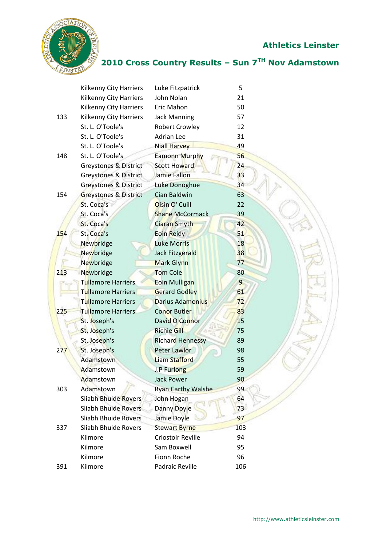

## **2010 Cross Country Results – Sun 7TH Nov Adamstown**

|     | <b>Kilkenny City Harriers</b>    | Luke Fitzpatrick          | 5              |
|-----|----------------------------------|---------------------------|----------------|
|     | <b>Kilkenny City Harriers</b>    | John Nolan                | 21             |
|     | Kilkenny City Harriers           | Eric Mahon                | 50             |
| 133 | Kilkenny City Harriers           | <b>Jack Manning</b>       | 57             |
|     | St. L. O'Toole's                 | <b>Robert Crowley</b>     | 12             |
|     | St. L. O'Toole's                 | <b>Adrian Lee</b>         | 31             |
|     | St. L. O'Toole's                 | <b>Niall Harvey</b>       | 49             |
| 148 | St. L. O'Toole's                 | Eamonn Murphy             | 56             |
|     | Greystones & District            | <b>Scott Howard</b>       | 24             |
|     | <b>Greystones &amp; District</b> | <b>Jamie Fallon</b>       | 33             |
|     | <b>Greystones &amp; District</b> | Luke Donoghue             | 34             |
| 154 | <b>Greystones &amp; District</b> | Cian Baldwin              | 63             |
|     | St. Coca's                       | Oisin O' Cuill            | 22             |
|     | St. Coca's                       | <b>Shane McCormack</b>    | 39             |
|     | St. Coca's                       | Ciaran Smyth              | 42             |
| 154 | St. Coca's                       | Eoin Reidy                | 51             |
|     | Newbridge                        | <b>Luke Morris</b>        | 18             |
|     | Newbridge                        | Jack Fitzgerald           | 38             |
|     | Newbridge                        | Mark Glynn                | 77             |
| 213 | Newbridge                        | <b>Tom Cole</b>           | 80             |
|     | Tullamore Harriers               | Eoin Mulligan             | $\overline{9}$ |
|     | <b>Tullamore Harriers</b>        | <b>Gerard Godley</b>      | 61             |
|     | <b>Tullamore Harriers</b>        | <b>Darius Adamonius</b>   | 72             |
| 225 | <b>Tullamore Harriers</b>        | <b>Conor Butler</b>       | 83             |
|     | St. Joseph's                     | David O Connor            | 15             |
|     | St. Joseph's                     | <b>Richie Gill</b>        | 75             |
|     | St. Joseph's                     | <b>Richard Hennessy</b>   | 89             |
| 277 | St. Joseph's                     | <b>Peter Lawlor</b>       | 98             |
|     | Adamstown                        | Liam Stafford             | 55             |
|     | Adamstown                        | J.P Furlong               | 59             |
|     | Adamstown                        | <b>Jack Power</b>         | 90             |
| 303 | Adamstown                        | <b>Ryan Carthy Walshe</b> | 99             |
|     | <b>Sliabh Bhuide Rovers</b>      | John Hogan                | 64             |
|     | <b>Sliabh Bhuide Rovers</b>      | Danny Doyle               | 73             |
|     | Sliabh Bhuide Rovers             | Jamie Doyle               | 97             |
| 337 | Sliabh Bhuide Rovers             | <b>Stewart Byrne</b>      | 103            |
|     | Kilmore                          | Criostoir Reville         | 94             |
|     | Kilmore                          | Sam Boxwell               | 95             |
|     | Kilmore                          | Fionn Roche               | 96             |
| 391 | Kilmore                          | Padraic Reville           | 106            |
|     |                                  |                           |                |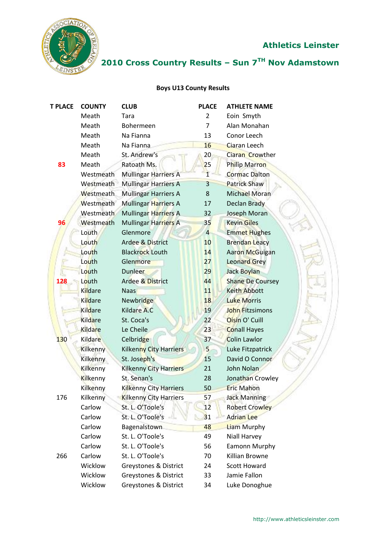

## **2010 Cross Country Results – Sun 7TH Nov Adamstown**

#### **Boys U13 County Results**

| <b>T PLACE</b> | <b>COUNTY</b>   | <b>CLUB</b>                   | <b>PLACE</b>   | <b>ATHLETE NAME</b>     |
|----------------|-----------------|-------------------------------|----------------|-------------------------|
|                | Meath           | Tara                          | $\overline{2}$ | Eoin Smyth              |
|                | Meath           | Bohermeen                     | $\overline{7}$ | Alan Monahan            |
|                | Meath           | Na Fianna                     | 13             | Conor Leech             |
|                | Meath           | Na Fianna                     | 16             | <b>Ciaran Leech</b>     |
|                | Meath           | St. Andrew's                  | 20             | Ciaran Crowther         |
| 83             | Meath           | Ratoath Ms.                   | 25             | <b>Philip Marron</b>    |
|                | Westmeath       | <b>Mullingar Harriers A</b>   |                | <b>Cormac Dalton</b>    |
|                | Westmeath       | <b>Mullingar Harriers A</b>   | $\overline{3}$ | <b>Patrick Shaw</b>     |
|                | Westmeath       | <b>Mullingar Harriers A</b>   | 8              | Michael Moran           |
|                | Westmeath       | Mullingar Harriers A          | 17             | Declan Brady            |
|                | Westmeath       | Mullingar Harriers A          | 32             | Joseph Moran            |
| 96             | Westmeath       | <b>Mullingar Harriers A</b>   | 35             | <b>Kevin Giles</b>      |
|                | Louth           | Glenmore                      | $\overline{4}$ | <b>Emmet Hughes</b>     |
|                | Louth           | Ardee & District              | 10             | <b>Brendan Leacy</b>    |
|                | Louth           | <b>Blackrock Louth</b>        | 14             | Aaron McGuigan          |
|                | Louth           | Glenmore                      | 27             | <b>Leonard Grey</b>     |
|                | Louth           | <b>Dunleer</b>                | 29             | Jack Boylan             |
| 128            | Louth           | <b>Ardee &amp; District</b>   | 44             | <b>Shane De Coursey</b> |
|                | Kildare         | <b>Naas</b>                   | 11             | <b>Keith Abbott</b>     |
|                | Kildare         | Newbridge                     | 18             | <b>Luke Morris</b>      |
|                | Kildare         | Kildare A.C                   | 19             | <b>John Fitzsimons</b>  |
|                | <b>Kildare</b>  | St. Coca's                    | 22             | Oisin O' Cuill          |
|                | <b>Kildare</b>  | Le Cheile                     | 23             | <b>Conall Hayes</b>     |
| 130            | Kildare         | Celbridge                     | 37             | <b>Colin Lawlor</b>     |
|                | <b>Kilkenny</b> | <b>Kilkenny City Harriers</b> | 5              | Luke Fitzpatrick        |
|                | Kilkenny        | St. Joseph's                  | 15             | David O Connor          |
|                | Kilkenny        | <b>Kilkenny City Harriers</b> | 21             | John Nolan              |
|                | Kilkenny        | St. Senan's                   | 28             | Jonathan Crowley        |
|                | Kilkenny        | Kilkenny City Harriers        | 50             | <b>Eric Mahon</b>       |
| 176            | Kilkenny        | <b>Kilkenny City Harriers</b> | 57             | <b>Jack Manning</b>     |
|                | Carlow          | St. L. O'Toole's              | 12             | <b>Robert Crowley</b>   |
|                | Carlow          | St. L. O'Toole's              | 31             | <b>Adrian Lee</b>       |
|                | Carlow          | Bagenalstown                  | 48             | <b>Liam Murphy</b>      |
|                | Carlow          | St. L. O'Toole's              | 49             | Niall Harvey            |
|                | Carlow          | St. L. O'Toole's              | 56             | <b>Eamonn Murphy</b>    |
| 266            | Carlow          | St. L. O'Toole's              | 70             | <b>Killian Browne</b>   |
|                | Wicklow         | Greystones & District         | 24             | <b>Scott Howard</b>     |
|                | Wicklow         | Greystones & District         | 33             | Jamie Fallon            |
|                | Wicklow         | Greystones & District         | 34             | Luke Donoghue           |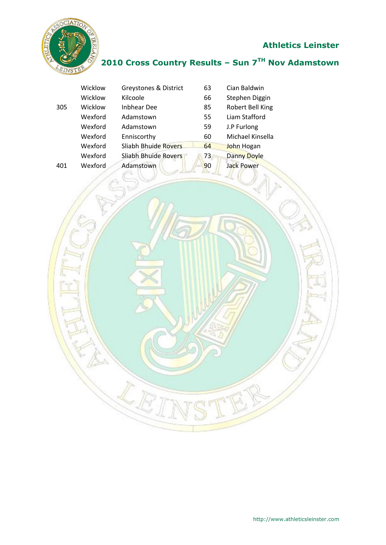

### **2010 Cross Country Results – Sun 7TH Nov Adamstown**

|     | Wicklow | Greystones & District       | 63 | Cian Baldwin       |
|-----|---------|-----------------------------|----|--------------------|
|     | Wicklow | Kilcoole                    | 66 | Stephen Diggin     |
| 305 | Wicklow | <b>Inbhear Dee</b>          | 85 | Robert Bell King   |
|     | Wexford | Adamstown                   | 55 | Liam Stafford      |
|     | Wexford | Adamstown                   | 59 | J.P Furlong        |
|     | Wexford | Enniscorthy                 | 60 | Michael Kinsella   |
|     | Wexford | <b>Sliabh Bhuide Rovers</b> | 64 | John Hogan         |
|     | Wexford | Sliabh Bhuide Rovers        | 73 | <b>Danny Doyle</b> |
| 401 | Wexford | Adamstown                   | 90 | <b>Jack Power</b>  |
|     |         |                             |    |                    |

I J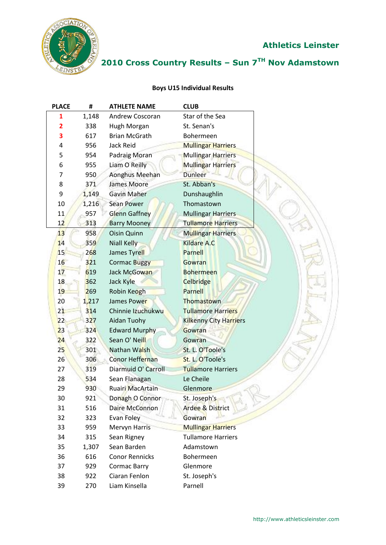

## **2010 Cross Country Results – Sun 7TH Nov Adamstown**

#### **Boys U15 Individual Results**

| <b>PLACE</b>   | #     | <b>ATHLETE NAME</b>     | <b>CLUB</b>               |
|----------------|-------|-------------------------|---------------------------|
| 1              | 1,148 | Andrew Coscoran         | Star of the Sea           |
| $\overline{2}$ | 338   | Hugh Morgan             | St. Senan's               |
| 3              | 617   | <b>Brian McGrath</b>    | Bohermeen                 |
| 4              | 956   | Jack Reid               | <b>Mullingar Harriers</b> |
| 5              | 954   | Padraig Moran           | <b>Mullingar Harriers</b> |
| 6              | 955   | Liam O Reilly           | Mullingar Harriers        |
| 7              | 950   | Aonghus Meehan          | <b>Dunleer</b>            |
| 8              | 371   | James Moore             | St. Abban's               |
| 9              | 1,149 | <b>Gavin Maher</b>      | Dunshaughlin              |
| 10             | 1,216 | <b>Sean Power</b>       | Thomastown                |
| 11             | 957   | <b>Glenn Gaffney</b>    | <b>Mullingar Harriers</b> |
| 12             | 313   | <b>Barry Mooney</b>     | <b>Tullamore Harriers</b> |
| 13             | 958   | Oisin Quinn             | <b>Mullingar Harriers</b> |
| 14             | 359   | <b>Niall Kelly</b>      | Kildare A.C               |
| 15             | 268   | James Tyrell            | Parnell                   |
| 16             | 321   | <b>Cormac Buggy</b>     | <b>Gowran</b>             |
| 17             | 619   | Jack McGowan            | <b>Bohermeen</b>          |
| 18             | 362   | Jack Kyle               | Celbridge                 |
| 19             | 269   | Robin Keogh             | <b>Parnell</b>            |
| 20             | 1,217 | James Power             | Thomastown                |
| 21             | 314   | Chinnie Izuchukwu       | <b>Tullamore Harriers</b> |
| 22             | 327   | Aidan Tuohy             | Kilkenny City Harriers    |
| 23             | 324   | <b>Edward Murphy</b>    | Gowran                    |
| 24             | 322   | Sean O' Neill           | Gowran                    |
| 25             | 301   | Nathan Walsh            | St. L. O'Toole's          |
| 26             | 306   | Conor Heffernan         | St. L. O'Toole's          |
| 27             | 319   | Diarmuid O' Carroll     | <b>Tullamore Harriers</b> |
| 28             | 534   | Sean Flanagan           | Le Cheile                 |
| 29             | 930   | <b>Ruairi MacArtain</b> | Glenmore                  |
| 30             | 921   | Donagh O Connor         | St. Joseph's              |
| 31             | 516   | Daire McConnon          | Ardee & District          |
| 32             | 323   | Evan Foley              | Gowran                    |
| 33             | 959   | <b>Mervyn Harris</b>    | <b>Mullingar Harriers</b> |
| 34             | 315   | Sean Rigney             | <b>Tullamore Harriers</b> |
| 35             | 1,307 | Sean Barden             | Adamstown                 |
| 36             | 616   | <b>Conor Rennicks</b>   | Bohermeen                 |
| 37             | 929   | Cormac Barry            | Glenmore                  |
| 38             | 922   | Ciaran Fenlon           | St. Joseph's              |
| 39             | 270   | Liam Kinsella           | Parnell                   |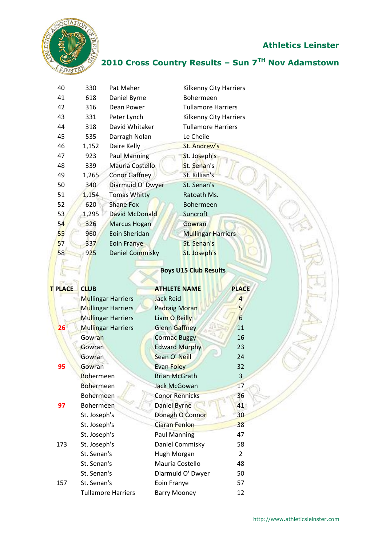

## **2010 Cross Country Results – Sun 7TH Nov Adamstown**

| 40 | 330   | Pat Maher           | Kilkenny City Harriers    |
|----|-------|---------------------|---------------------------|
| 41 | 618   | Daniel Byrne        | Bohermeen                 |
| 42 | 316   | Dean Power          | <b>Tullamore Harriers</b> |
| 43 | 331   | Peter Lynch         | Kilkenny City Harriers    |
| 44 | 318   | David Whitaker      | <b>Tullamore Harriers</b> |
| 45 | 535   | Darragh Nolan       | Le Cheile                 |
| 46 | 1,152 | Daire Kelly         | St. Andrew's              |
| 47 | 923   | <b>Paul Manning</b> | St. Joseph's              |
| 48 | 339   | Mauria Costello     | St. Senan's               |
| 49 | 1,265 | Conor Gaffney       | St. Killian's             |
| 50 | 340   | Diarmuid O' Dwyer   | St. Senan's               |
| 51 | 1,154 | <b>Tomas Whitty</b> | Ratoath Ms.               |
| 52 | 620   | Shane Fox           | Bohermeen                 |
| 53 | 1,295 | David McDonald      | <b>Suncroft</b>           |
| 54 | 326   | <b>Marcus Hogan</b> | Gowran                    |
| 55 | 960   | Eoin Sheridan       | <b>Mullingar Harriers</b> |
| 57 | 337   | Eoin Franye         | St. Senan's               |
| 58 | 925   | Daniel Commisky     | St. Joseph's              |
|    |       |                     |                           |

#### **Boys U15 Club Results**

| T PLACE | <b>CLUB</b>               | <b>ATHLETE NAME</b>   | <b>PLACE</b>   |
|---------|---------------------------|-----------------------|----------------|
|         | <b>Mullingar Harriers</b> | <b>Jack Reid</b>      | $\overline{4}$ |
|         | Mullingar Harriers        | <b>Padraig Moran</b>  | 5              |
|         | <b>Mullingar Harriers</b> | Liam O Reilly         | 6              |
| 26      | <b>Mullingar Harriers</b> | Glenn Gaffney         | 11             |
|         | Gowran                    | <b>Cormac Buggy</b>   | 16             |
|         | Gowran                    | <b>Edward Murphy</b>  | 23             |
|         | Gowran                    | Sean O' Neill         | 24             |
| 95      | Gowran                    | Evan Foley            | 32             |
|         | <b>Bohermeen</b>          | <b>Brian McGrath</b>  | 3              |
|         | <b>Bohermeen</b>          | Jack McGowan          | 17             |
|         | Bohermeen                 | <b>Conor Rennicks</b> | 36             |
| 97      | Bohermeen                 | Daniel Byrne          | 41             |
|         | St. Joseph's              | Donagh O Connor       | 30             |
|         | St. Joseph's              | Ciaran Fenlon         | 38             |
|         | St. Joseph's              | <b>Paul Manning</b>   | 47             |
| 173     | St. Joseph's              | Daniel Commisky       | 58             |
|         | St. Senan's               | Hugh Morgan           | $\overline{2}$ |
|         | St. Senan's               | Mauria Costello       | 48             |
|         | St. Senan's               | Diarmuid O' Dwyer     | 50             |
| 157     | St. Senan's               | Eoin Franye           | 57             |
|         | <b>Tullamore Harriers</b> | <b>Barry Mooney</b>   | 12             |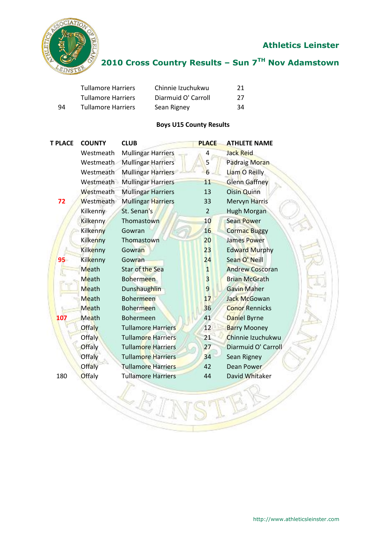

## **2010 Cross Country Results – Sun 7TH Nov Adamstown**

|    | <b>Tullamore Harriers</b> | Chinnie Izuchukwu   | 21 |
|----|---------------------------|---------------------|----|
|    | <b>Tullamore Harriers</b> | Diarmuid O' Carroll | 27 |
| 94 | <b>Tullamore Harriers</b> | Sean Rigney         | 34 |

#### **Boys U15 County Results**

| <b>T PLACE</b> | <b>COUNTY</b>   | <b>CLUB</b>               | <b>PLACE</b>   | <b>ATHLETE NAME</b>    |
|----------------|-----------------|---------------------------|----------------|------------------------|
|                | Westmeath       | <b>Mullingar Harriers</b> | 4              | <b>Jack Reid</b>       |
|                | Westmeath       | <b>Mullingar Harriers</b> | 5              | <b>Padraig Moran</b>   |
|                | Westmeath       | <b>Mullingar Harriers</b> | 6              | Liam O Reilly          |
|                | Westmeath       | <b>Mullingar Harriers</b> | 11             | <b>Glenn Gaffney</b>   |
|                | Westmeath       | <b>Mullingar Harriers</b> | 13             | <b>Oisin Quinn</b>     |
| 72             | Westmeath       | <b>Mullingar Harriers</b> | 33             | <b>Mervyn Harris</b>   |
|                | Kilkenny        | St. Senan's               | $\overline{2}$ | <b>Hugh Morgan</b>     |
|                | <b>Kilkenny</b> | Thomastown                | 10             | <b>Sean Power</b>      |
|                | Kilkenny        | Gowran                    | 16             | <b>Cormac Buggy</b>    |
|                | Kilkenny        | Thomastown                | 20             | James Power            |
|                | Kilkenny        | Gowran                    | 23             | <b>Edward Murphy</b>   |
| 95             | Kilkenny        | Gowran                    | 24             | Sean O' Neill          |
|                | Meath           | Star of the Sea           | $\mathbf{1}$   | <b>Andrew Coscoran</b> |
|                | Meath           | <b>Bohermeen</b>          | $\overline{3}$ | <b>Brian McGrath</b>   |
|                | Meath           | <b>Dunshaughlin</b>       | $\overline{9}$ | <b>Gavin Maher</b>     |
|                | Meath           | <b>Bohermeen</b>          | 17             | <b>Jack McGowan</b>    |
|                | Meath           | <b>Bohermeen</b>          | 36             | <b>Conor Rennicks</b>  |
| 107            | Meath           | <b>Bohermeen</b>          | 41             | Daniel Byrne           |
|                | <b>Offaly</b>   | <b>Tullamore Harriers</b> | 12             | <b>Barry Mooney</b>    |
|                | <b>Offaly</b>   | <b>Tullamore Harriers</b> | 21             | Chinnie Izuchukwu      |
|                | <b>Offaly</b>   | <b>Tullamore Harriers</b> | 27             | Diarmuid O' Carroll    |
|                | Offaly          | <b>Tullamore Harriers</b> | 34             | Sean Rigney            |
|                | Offaly          | <b>Tullamore Harriers</b> | 42             | Dean Power             |
| 180            | Offaly          | <b>Tullamore Harriers</b> | 44             | David Whitaker         |
|                |                 |                           |                |                        |
|                |                 |                           |                |                        |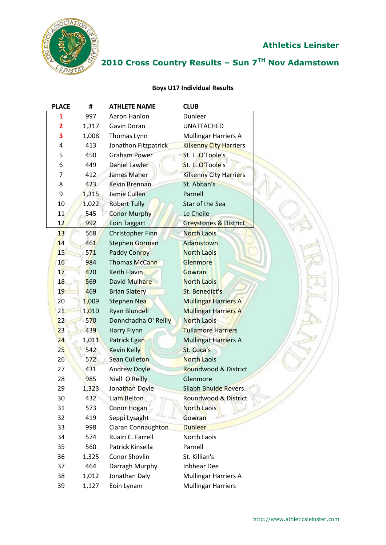

## **2010 Cross Country Results – Sun 7TH Nov Adamstown**

#### **Boys U17 Individual Results**

| <b>PLACE</b>            | #     | <b>ATHLETE NAME</b>     | <b>CLUB</b>                      |
|-------------------------|-------|-------------------------|----------------------------------|
| 1                       | 997   | Aaron Hanlon            | Dunleer                          |
| $\overline{\mathbf{2}}$ | 1,317 | Gavin Doran             | <b>UNATTACHED</b>                |
| 3                       | 1,008 | Thomas Lynn             | <b>Mullingar Harriers A</b>      |
| 4                       | 413   | Jonathon Fitzpatrick    | <b>Kilkenny City Harriers</b>    |
| 5                       | 450   | <b>Graham Power</b>     | St. L. O'Toole's                 |
| 6                       | 449   | <b>Daniel Lawler</b>    | St. L. O'Toole's                 |
| 7                       | 412   | James Maher             | <b>Kilkenny City Harriers</b>    |
| 8                       | 423   | Kevin Brennan           | St. Abban's                      |
| 9                       | 1,315 | Jamie Cullen            | Parnell                          |
| 10                      | 1,022 | <b>Robert Tully</b>     | Star of the Sea                  |
| 11                      | 545   | <b>Conor Murphy</b>     | Le Cheile                        |
| 12                      | 992   | <b>Eoin Taggart</b>     | <b>Greystones &amp; District</b> |
| 13 <sup>°</sup>         | 568   | <b>Christopher Finn</b> | North Laois                      |
| 14                      | 461   | Stephen Gorman          | Adamstown                        |
| 15                      | 571   | <b>Paddy Conroy</b>     | <b>North Laois</b>               |
| 16                      | 984   | <b>Thomas McCann</b>    | <b>Glenmore</b>                  |
| 17                      | 420   | Keith Flavin            | Gowran                           |
| 18                      | 569   | David Mulhare           | <b>North Laois</b>               |
| 19                      | 469   | <b>Brian Slatery</b>    | <b>St. Benedict's</b>            |
| 20                      | 1,009 | Stephen Nea             | <b>Mullingar Harriers A</b>      |
| 21                      | 1,010 | <b>Ryan Blundell</b>    | <b>Mullingar Harriers A</b>      |
| 22                      | 570   | Donnchadha O' Reilly    | <b>North Laois</b>               |
| 23                      | 439   | Harry Flynn             | <b>Tullamore Harriers</b>        |
| 24                      | 1,011 | Patrick Egan            | <b>Mullingar Harriers A</b>      |
| 25                      | 542   | <b>Kevin Kelly</b>      | St. Coca's                       |
| 26                      | 572   | <b>Sean Culleton</b>    | <b>North Laois</b>               |
| 27                      | 431   | <b>Andrew Doyle</b>     | Roundwood & District             |
| 28                      | 985   | Niall O Reilly          | Glenmore                         |
| 29                      | 1,323 | Jonathan Doyle          | <b>Sliabh Bhuide Rovers</b>      |
| 30                      | 432   | <b>Liam Belton</b>      | Roundwood & District             |
| 31                      | 573   | <b>Conor Hogan</b>      | North Laois                      |
| 32                      | 419   | Seppi Lysaght           | Gowran                           |
| 33                      | 998   | Ciaran Connaughton      | <b>Dunleer</b>                   |
| 34                      | 574   | Ruairi C. Farrell       | North Laois                      |
| 35                      | 560   | Patrick Kinsella        | Parnell                          |
| 36                      | 1,325 | Conor Shovlin           | St. Killian's                    |
| 37                      | 464   | Darragh Murphy          | <b>Inbhear Dee</b>               |
| 38                      | 1,012 | Jonathan Daly           | <b>Mullingar Harriers A</b>      |
| 39                      | 1,127 | Eoin Lynam              | <b>Mullingar Harriers</b>        |
|                         |       |                         |                                  |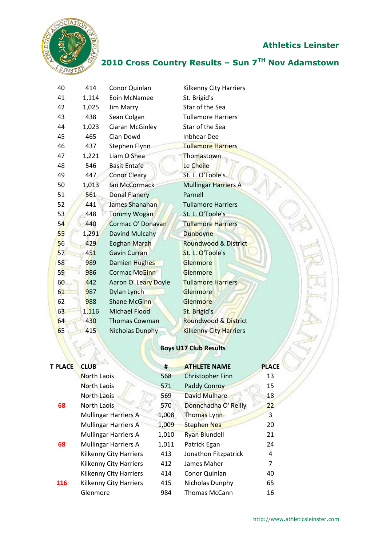



## **2010 Cross Country Results – Sun 7TH Nov Adamstown**

| 40 | 414   | Conor Quinlan        | <b>Kilkenny City Harriers</b> |
|----|-------|----------------------|-------------------------------|
| 41 | 1,114 | Eoin McNamee         | St. Brigid's                  |
| 42 | 1,025 | <b>Jim Marry</b>     | Star of the Sea               |
| 43 | 438   | Sean Colgan          | <b>Tullamore Harriers</b>     |
| 44 | 1,023 | Ciaran McGinley      | Star of the Sea               |
| 45 | 465   | Cian Dowd            | <b>Inbhear Dee</b>            |
| 46 | 437   | Stephen Flynn        | <b>Tullamore Harriers</b>     |
| 47 | 1,221 | Liam O Shea          | Thomastown                    |
| 48 | 546   | <b>Basit Entafe</b>  | Le Cheile                     |
| 49 | 447   | <b>Conor Cleary</b>  | St. L. O'Toole's              |
| 50 | 1,013 | Ian McCormack        | Mullingar Harriers A          |
| 51 | 561   | <b>Donal Flanery</b> | Parnell                       |
| 52 | 441   | James Shanahan       | <b>Tullamore Harriers</b>     |
| 53 | 448   | <b>Tommy Wogan</b>   | St. L. O'Toole's              |
| 54 | 440   | Cormac O' Donavan    | <b>Tullamore Harriers</b>     |
| 55 | 1,291 | Davind Mulcahy       | Dunboyne                      |
| 56 | 429   | <b>Eoghan Marah</b>  | Roundwood & District          |
| 57 | 451   | Gavin Curran         | St. L. O'Toole's              |
| 58 | 989   | Damien Hughes        | Glenmore                      |
| 59 | 986   | <b>Cormac McGinn</b> | Glenmore                      |
| 60 | 442   | Aaron O' Leary Doyle | <b>Tullamore Harriers</b>     |
| 61 | 987   | Dylan Lynch          | Glenmore                      |
| 62 | 988   | <b>Shane McGinn</b>  | Glenmore                      |
| 63 | 1,116 | <b>Michael Flood</b> | St. Brigid's                  |
| 64 | 430   | <b>Thomas Cowman</b> | Roundwood & District          |
| 65 | 415   | Nicholas Dunphy      | <b>Kilkenny City Harriers</b> |
|    |       |                      |                               |

### **Boys U17 Club Results**

| <b>T PLACE</b> | <b>CLUB</b>                   | #     | <b>ATHLETE NAME</b>     | <b>PLACE</b> |  |
|----------------|-------------------------------|-------|-------------------------|--------------|--|
|                | <b>North Laois</b>            | 568   | <b>Christopher Finn</b> | 13           |  |
|                | North Laois                   | 571   | Paddy Conroy            | 15           |  |
|                | North Laois                   | 569   | <b>David Mulhare</b>    | 18           |  |
| 68             | North Laois                   | 570   | Donnchadha O' Reilly    | 22           |  |
|                | <b>Mullingar Harriers A</b>   | 1,008 | Thomas Lynn             | 3            |  |
|                | <b>Mullingar Harriers A</b>   | 1,009 | <b>Stephen Nea</b>      | 20           |  |
|                | <b>Mullingar Harriers A</b>   | 1,010 | <b>Ryan Blundell</b>    | 21           |  |
| 68             | <b>Mullingar Harriers A</b>   | 1,011 | Patrick Egan            | 24           |  |
|                | <b>Kilkenny City Harriers</b> | 413   | Jonathon Fitzpatrick    | 4            |  |
|                | Kilkenny City Harriers        | 412   | James Maher             | 7            |  |
|                | Kilkenny City Harriers        | 414   | Conor Quinlan           | 40           |  |
| 116            | <b>Kilkenny City Harriers</b> | 415   | Nicholas Dunphy         | 65           |  |
|                | Glenmore                      | 984   | <b>Thomas McCann</b>    | 16           |  |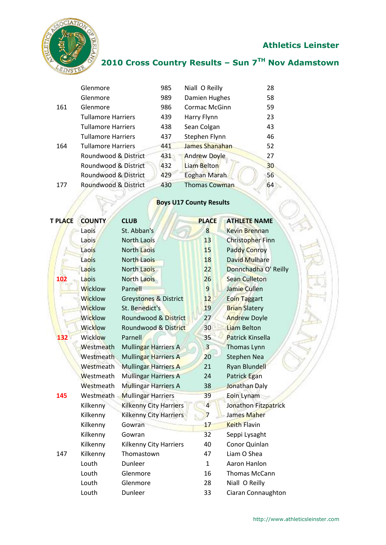

## **2010 Cross Country Results – Sun 7TH Nov Adamstown**

|     | Glenmore                  | 985 | Niall O Reilly       | 28 |
|-----|---------------------------|-----|----------------------|----|
|     | Glenmore                  | 989 | Damien Hughes        | 58 |
| 161 | Glenmore                  | 986 | <b>Cormac McGinn</b> | 59 |
|     | <b>Tullamore Harriers</b> | 439 | Harry Flynn          | 23 |
|     | <b>Tullamore Harriers</b> | 438 | Sean Colgan          | 43 |
|     | <b>Tullamore Harriers</b> | 437 | Stephen Flynn        | 46 |
| 164 | <b>Tullamore Harriers</b> | 441 | James Shanahan       | 52 |
|     | Roundwood & District      | 431 | <b>Andrew Doyle</b>  | 27 |
|     | Roundwood & District      | 432 | Liam Belton          | 30 |
|     | Roundwood & District      | 429 | <b>Eoghan Marah</b>  | 56 |
| 177 | Roundwood & District      | 430 | <b>Thomas Cowman</b> | 64 |
|     |                           |     |                      |    |

## **Boys U17 County Results**

| <b>T PLACE</b> | <b>COUNTY</b>  | <b>CLUB</b>                   | <b>PLACE</b>   | <b>ATHLETE NAME</b>  |
|----------------|----------------|-------------------------------|----------------|----------------------|
|                | Laois          | St. Abban's                   | 8              | <b>Kevin Brennan</b> |
|                | Laois          | <b>North Laois</b>            | 13             | Christopher Finn     |
|                | Laois          | <b>North Laois</b>            | 15             | <b>Paddy Conroy</b>  |
|                | Laois          | <b>North Laois</b>            | 18             | <b>David Mulhare</b> |
|                | Laois          | North Laois                   | 22             | Donnchadha O' Reilly |
| 102            | Laois          | North Laois                   | 26             | <b>Sean Culleton</b> |
|                | <b>Wicklow</b> | Parnell                       | 9              | Jamie Cullen         |
|                | <b>Wicklow</b> | Greystones & District         | 12             | <b>Eoin Taggart</b>  |
|                | <b>Wicklow</b> | St. Benedict's                | 19             | <b>Brian Slatery</b> |
|                | <b>Wicklow</b> | Roundwood & District          | 27             | <b>Andrew Doyle</b>  |
|                | <b>Wicklow</b> | Roundwood & District          | 30             | <b>Liam Belton</b>   |
| 132            | <b>Wicklow</b> | Parnell                       | 35             | Patrick Kinsella     |
|                | Westmeath      | <b>Mullingar Harriers A</b>   | $\overline{3}$ | Thomas Lynn          |
|                | Westmeath      | <b>Mullingar Harriers A</b>   | 20             | <b>Stephen Nea</b>   |
|                | Westmeath      | <b>Mullingar Harriers A</b>   | 21             | <b>Ryan Blundell</b> |
|                | Westmeath      | <b>Mullingar Harriers A</b>   | 24             | Patrick Egan         |
|                | Westmeath      | <b>Mullingar Harriers A</b>   | 38             | Jonathan Daly        |
| 145            | Westmeath      | <b>Mullingar Harriers</b>     | 39             | Eoin Lynam           |
|                | Kilkenny       | <b>Kilkenny City Harriers</b> | $\overline{4}$ | Jonathon Fitzpatrick |
|                | Kilkenny       | <b>Kilkenny City Harriers</b> | $\overline{7}$ | James Maher          |
|                | Kilkenny       | Gowran                        | 17             | <b>Keith Flavin</b>  |
|                | Kilkenny       | Gowran                        | 32             | Seppi Lysaght        |
|                | Kilkenny       | <b>Kilkenny City Harriers</b> | 40             | Conor Quinlan        |
| 147            | Kilkenny       | Thomastown                    | 47             | Liam O Shea          |
|                | Louth          | Dunleer                       | $\mathbf{1}$   | Aaron Hanlon         |
|                | Louth          | Glenmore                      | 16             | Thomas McCann        |
|                | Louth          | Glenmore                      | 28             | Niall O Reilly       |
|                | Louth          | Dunleer                       | 33             | Ciaran Connaughton   |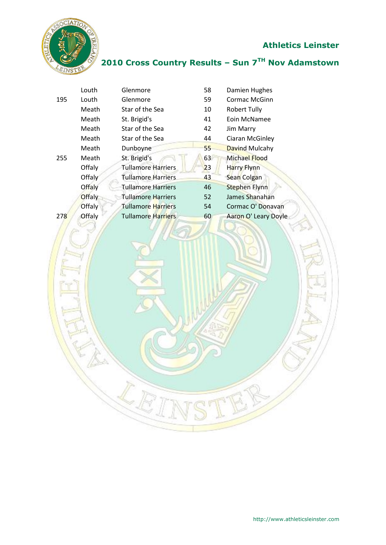

## **2010 Cross Country Results – Sun 7TH Nov Adamstown**

|     | Louth         | Glenmore                  | 58              | Damien Hughes         |
|-----|---------------|---------------------------|-----------------|-----------------------|
| 195 | Louth         | Glenmore                  | 59              | Cormac McGinn         |
|     | Meath         | Star of the Sea           | 10              | <b>Robert Tully</b>   |
|     | Meath         | St. Brigid's              | 41              | Eoin McNamee          |
|     | Meath         | Star of the Sea           | 42              | Jim Marry             |
|     | Meath         | Star of the Sea           | 44              | Ciaran McGinley       |
|     | Meath         | Dunboyne                  | 55 <sub>5</sub> | <b>Davind Mulcahy</b> |
| 255 | Meath         | St. Brigid's              | 63              | Michael Flood         |
|     | Offaly        | <b>Tullamore Harriers</b> | 23              | <b>Harry Flynn</b>    |
|     | Offaly        | <b>Tullamore Harriers</b> | 43              | <b>Sean Colgan</b>    |
|     | Offaly        | <b>Tullamore Harriers</b> | 46              | <b>Stephen Flynn</b>  |
|     | <b>Offaly</b> | <b>Tullamore Harriers</b> | 52              | James Shanahan        |
|     | <b>Offaly</b> | Tullamore Harriers        | 54              | Cormac O' Donavan     |
| 278 | Offaly        | <b>Tullamore Harriers</b> | 60              | Aaron O' Leary Doyle  |
|     |               |                           |                 |                       |

LE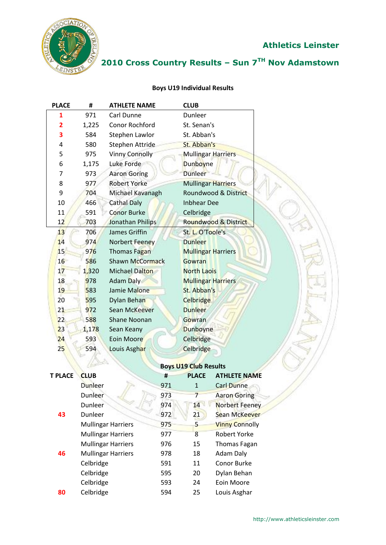

## **2010 Cross Country Results – Sun 7TH Nov Adamstown**

#### **Boys U19 Individual Results**

| <b>PLACE</b> | #     | <b>ATHLETE NAME</b>    | <b>CLUB</b>               |
|--------------|-------|------------------------|---------------------------|
| 1            | 971   | Carl Dunne             | <b>Dunleer</b>            |
| 2            | 1,225 | Conor Rochford         | St. Senan's               |
| 3            | 584   | Stephen Lawlor         | St. Abban's               |
| 4            | 580   | Stephen Attride        | St. Abban's               |
| 5            | 975   | <b>Vinny Connolly</b>  | <b>Mullingar Harriers</b> |
| 6            | 1,175 | Luke Forde             | Dunboyne                  |
| 7            | 973   | <b>Aaron Goring</b>    | <b>Dunleer</b>            |
| 8            | 977   | <b>Robert Yorke</b>    | <b>Mullingar Harriers</b> |
| 9            | 704   | Michael Kavanagh       | Roundwood & District      |
| 10           | 466   | <b>Cathal Daly</b>     | <b>Inbhear Dee</b>        |
| 11           | 591   | <b>Conor Burke</b>     | Celbridge                 |
| 12           | 703   | Jonathan Philips       | Roundwood & District      |
| 13           | 706   | James Griffin          | St. L. O'Toole's          |
| 14           | 974   | Norbert Feeney         | <b>Dunleer</b>            |
| 15           | 976   | Thomas Fagan           | <b>Mullingar Harriers</b> |
| 16           | 586   | <b>Shawn McCormack</b> | Gowran                    |
| 17           | 1,320 | <b>Michael Dalton</b>  | <b>North Laois</b>        |
| 18           | 978   | <b>Adam Daly</b>       | <b>Mullingar Harriers</b> |
| 19           | 583   | Jamie Malone           | St. Abban's               |
| 20           | 595   | Dylan Behan            | <b>Celbridge</b>          |
| 21           | 972   | <b>Sean McKeever</b>   | <b>Dunleer</b>            |
| 22           | 588   | <b>Shane Noonan</b>    | Gowran                    |
| 23           | 1,178 | Sean Keany             | <b>Dunboyne</b>           |
| 24           | 593   | Eoin Moore             | Celbridge                 |
| 25           | 594   | Louis Asghar           | Celbridge                 |
|              |       |                        |                           |

| <b>T PLACE</b> | <b>CLUB</b>               | #   | <b>PLACE</b> | <b>ATHLETE NAME</b>   |
|----------------|---------------------------|-----|--------------|-----------------------|
|                | Dunleer                   | 971 | $\mathbf{1}$ | <b>Carl Dunne</b>     |
|                | Dunleer                   | 973 | 7            | <b>Aaron Goring</b>   |
|                | <b>Dunleer</b>            | 974 | 14           | <b>Norbert Feeney</b> |
| 43             | Dunleer                   | 972 | 21           | <b>Sean McKeever</b>  |
|                | <b>Mullingar Harriers</b> | 975 | 5            | <b>Vinny Connolly</b> |
|                | <b>Mullingar Harriers</b> | 977 | 8            | Robert Yorke          |
|                | <b>Mullingar Harriers</b> | 976 | 15           | <b>Thomas Fagan</b>   |
| 46             | <b>Mullingar Harriers</b> | 978 | 18           | Adam Daly             |
|                | Celbridge                 | 591 | 11           | Conor Burke           |
|                | Celbridge                 | 595 | 20           | Dylan Behan           |
|                | Celbridge                 | 593 | 24           | Eoin Moore            |
| 80             | Celbridge                 | 594 | 25           | Louis Asghar          |
|                |                           |     |              |                       |

#### **Boys U19 Club Results**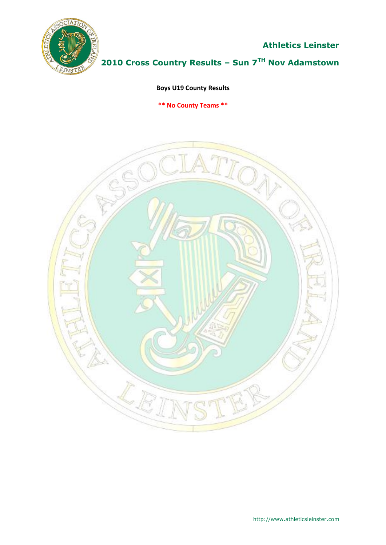

**2010 Cross Country Results – Sun 7TH Nov Adamstown**

**Boys U19 County Results**

**\*\* No County Teams \*\***

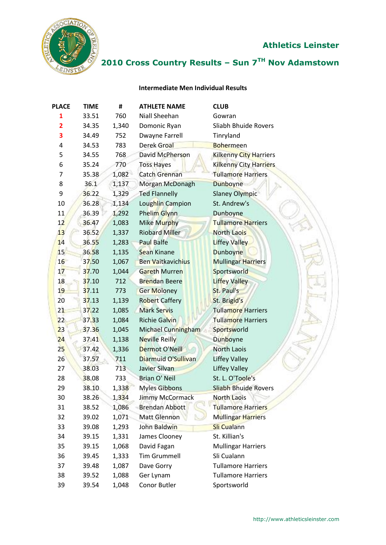

## **2010 Cross Country Results – Sun 7TH Nov Adamstown**

#### **Intermediate Men Individual Results**

| <b>PLACE</b>   | <b>TIME</b> | #     | <b>ATHLETE NAME</b>      | <b>CLUB</b>                   |
|----------------|-------------|-------|--------------------------|-------------------------------|
| $\mathbf{1}$   | 33.51       | 760   | Niall Sheehan            | Gowran                        |
| $\overline{2}$ | 34.35       | 1,340 | Domonic Ryan             | Sliabh Bhuide Rovers          |
| 3              | 34.49       | 752   | Dwayne Farrell           | Tinryland                     |
| 4              | 34.53       | 783   | <b>Derek Groal</b>       | <b>Bohermeen</b>              |
| 5              | 34.55       | 768   | David McPherson          | <b>Kilkenny City Harriers</b> |
| 6              | 35.24       | 770   | <b>Toss Hayes</b>        | Kilkenny City Harriers        |
| 7              | 35.38       | 1,082 | <b>Catch Grennan</b>     | <b>Tullamore Harriers</b>     |
| 8              | 36.1        | 1,137 | Morgan McDonagh          | <b>Dunboyne</b>               |
| 9              | 36.22       | 1,329 | <b>Ted Flannelly</b>     | <b>Slaney Olympic</b>         |
| 10             | 36.28       | 1,134 | Loughlin Campion         | St. Andrew's                  |
| 11             | 36.39       | 1,292 | Phelim Glynn             | Dunboyne                      |
| 12             | 36.47       | 1,083 | Mike Murphy              | <b>Tullamore Harriers</b>     |
| 13             | 36.52       | 1,337 | <b>Riobard Miller</b>    | <b>North Laois</b>            |
| 14             | 36.55       | 1,283 | <b>Paul Balfe</b>        | <b>Liffey Valley</b>          |
| 15             | 36.58       | 1,135 | <b>Sean Kinane</b>       | <b>Dunboyne</b>               |
| 16             | 37.50       | 1,067 | <b>Ben Vaitkavichius</b> | <b>Mullingar Harriers</b>     |
| 17             | 37.70       | 1,044 | <b>Gareth Murren</b>     | Sportsworld                   |
| 18             | 37.10       | 712   | <b>Brendan Beere</b>     | <b>Liffey Valley</b>          |
| 19             | 37.11       | 773   | <b>Ger Moloney</b>       | St. Paul's                    |
| 20             | 37.13       | 1,139 | <b>Robert Caffery</b>    | St. Brigid's                  |
| 21             | 37.22       | 1,085 | <b>Mark Servis</b>       | <b>Tullamore Harriers</b>     |
| 22             | 37.33       | 1,084 | <b>Richie Galvin</b>     | <b>Tullamore Harriers</b>     |
| 23             | 37.36       | 1,045 | Michael Cunningham       | Sportsworld                   |
| 24             | 37.41       | 1,138 | <b>Neville Reilly</b>    | Dunboyne                      |
| 25             | 37.42       | 1,336 | Dermot O'Neill           | <b>North Laois</b>            |
| 26             | 37.57       | 711   | Diarmuid O'Sullivan      | <b>Liffey Valley</b>          |
| 27             | 38.03       | 713   | Javier Silvan            | <b>Liffey Valley</b>          |
| 28             | 38.08       | 733   | <b>Brian O' Neil</b>     | St. L. O'Toole's              |
| 29             | 38.10       | 1,338 | <b>Myles Gibbons</b>     | <b>Sliabh Bhuide Rovers</b>   |
| 30             | 38.26       | 1,334 | <b>Jimmy McCormack</b>   | <b>North Laois</b>            |
| 31             | 38.52       | 1,086 | <b>Brendan Abbott</b>    | Tullamore Harriers            |
| 32             | 39.02       | 1,071 | <b>Matt Glennon</b>      | <b>Mullingar Harriers</b>     |
| 33             | 39.08       | 1,293 | John Baldwin             | <b>Sli Cualann</b>            |
| 34             | 39.15       | 1,331 | James Clooney            | St. Killian's                 |
| 35             | 39.15       | 1,068 | David Fagan              | <b>Mullingar Harriers</b>     |
| 36             | 39.45       | 1,333 | <b>Tim Grummell</b>      | Sli Cualann                   |
| 37             | 39.48       | 1,087 | Dave Gorry               | <b>Tullamore Harriers</b>     |
| 38             | 39.52       | 1,088 | Ger Lynam                | <b>Tullamore Harriers</b>     |
| 39             | 39.54       | 1,048 | Conor Butler             | Sportsworld                   |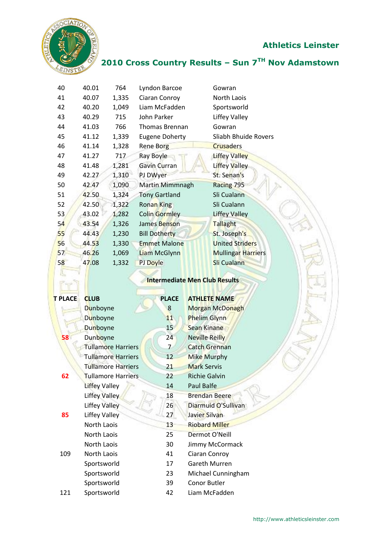

爬

#### **Athletics Leinster**

### **2010 Cross Country Results – Sun 7TH Nov Adamstown**

| 40 | 40.01 | 764   | Lyndon Barcoe         | Gowran                    |
|----|-------|-------|-----------------------|---------------------------|
| 41 | 40.07 | 1,335 | Ciaran Conroy         | North Laois               |
| 42 | 40.20 | 1,049 | Liam McFadden         | Sportsworld               |
| 43 | 40.29 | 715   | John Parker           | Liffey Valley             |
| 44 | 41.03 | 766   | <b>Thomas Brennan</b> | Gowran                    |
| 45 | 41.12 | 1,339 | <b>Eugene Doherty</b> | Sliabh Bhuide Rovers      |
| 46 | 41.14 | 1,328 | <b>Rene Borg</b>      | <b>Crusaders</b>          |
| 47 | 41.27 | 717   | <b>Ray Boyle</b>      | <b>Liffey Valley</b>      |
| 48 | 41.48 | 1,281 | <b>Gavin Curran</b>   | Liffey Valley             |
| 49 | 42.27 | 1,310 | PJ DWyer              | St. Senan's               |
| 50 | 42.47 | 1,090 | Martin Mimmnagh       | Racing 795                |
| 51 | 42.50 | 1,324 | <b>Tony Gartland</b>  | Sli Cualann               |
| 52 | 42.50 | 1,322 | <b>Ronan King</b>     | Sli Cualann               |
| 53 | 43.02 | 1,282 | Colin Gormley         | <b>Liffey Valley</b>      |
| 54 | 43.54 | 1,326 | James Benson          | <b>Tallaght</b>           |
| 55 | 44.43 | 1,230 | <b>Bill Dotherty</b>  | St. Joseph's              |
| 56 | 44.53 | 1,330 | <b>Emmet Malone</b>   | <b>United Striders</b>    |
| 57 | 46.26 | 1,069 | Liam McGlynn          | <b>Mullingar Harriers</b> |
| 58 | 47.08 | 1,332 | PJ Doyle              | Sli Cualann               |
|    |       |       |                       |                           |

#### **Intermediate Men Club Results**

**AND IN THE REAL** 

| <b>T PLACE</b> | <b>CLUB</b>               | <b>PLACE</b>   | <b>ATHLETE NAME</b>    |  |
|----------------|---------------------------|----------------|------------------------|--|
|                | <b>Dunboyne</b>           | 8              | <b>Morgan McDonagh</b> |  |
|                | Dunboyne                  | 11             | <b>Phelim Glynn</b>    |  |
|                | <b>Dunboyne</b>           | 15             | <b>Sean Kinane</b>     |  |
| 58             | Dunboyne                  | 24             | <b>Neville Reilly</b>  |  |
|                | <b>Tullamore Harriers</b> | $\overline{7}$ | <b>Catch Grennan</b>   |  |
|                | <b>Tullamore Harriers</b> | 12             | <b>Mike Murphy</b>     |  |
|                | <b>Tullamore Harriers</b> | 21             | <b>Mark Servis</b>     |  |
| 62             | Tullamore Harriers        | 22             | <b>Richie Galvin</b>   |  |
|                | <b>Liffey Valley</b>      | 14             | Paul Balfe             |  |
|                | <b>Liffey Valley</b>      | 18             | <b>Brendan Beere</b>   |  |
|                | <b>Liffey Valley</b>      | 26             | Diarmuid O'Sullivan    |  |
| 85             | <b>Liffey Valley</b>      | 27             | Javier Silvan          |  |
|                | North Laois               | 13             | <b>Riobard Miller</b>  |  |
|                | North Laois               | 25             | <b>Dermot O'Neill</b>  |  |
|                | North Laois               | 30             | Jimmy McCormack        |  |
| 109            | North Laois               | 41             | Ciaran Conroy          |  |
|                | Sportsworld               | 17             | Gareth Murren          |  |
|                | Sportsworld               | 23             | Michael Cunningham     |  |
|                | Sportsworld               | 39             | Conor Butler           |  |
| 121            | Sportsworld               | 42             | Liam McFadden          |  |
|                |                           |                |                        |  |